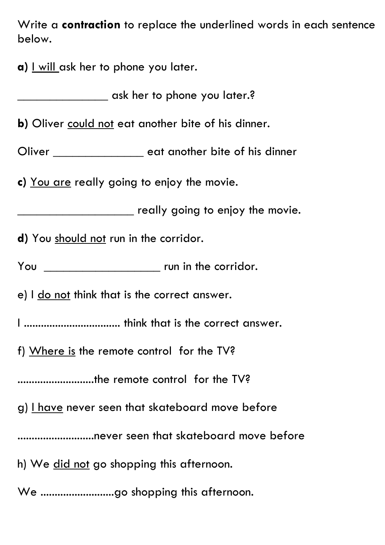Write a **contraction** to replace the underlined words in each sentence below.

**a)** I will ask her to phone you later.

\_\_\_\_\_\_\_\_\_\_\_\_\_\_ ask her to phone you later.?

**b)** Oliver could not eat another bite of his dinner.

Oliver \_\_\_\_\_\_\_\_\_\_\_\_\_\_\_\_ eat another bite of his dinner

**c)** You are really going to enjoy the movie.

\_\_\_\_\_\_\_\_\_\_\_\_\_\_\_\_\_\_ really going to enjoy the movie.

d) You should not run in the corridor.

You \_\_\_\_\_\_\_\_\_\_\_\_\_\_\_\_\_\_ run in the corridor.

e) I do not think that is the correct answer.

I .................................. think that is the correct answer.

f) Where is the remote control for the TV?

...........................the remote control for the TV?

g) I have never seen that skateboard move before

...........................never seen that skateboard move before

h) We did not go shopping this afternoon.

We ..........................go shopping this afternoon.